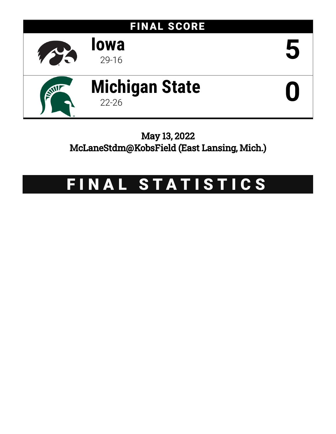

# May 13, 2022 McLaneStdm@KobsField (East Lansing, Mich.)

# FINAL STATISTICS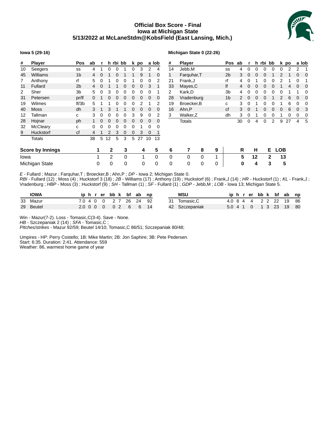# **Official Box Score - Final Iowa at Michigan State 5/13/2022 at McLaneStdm@KobsField (East Lansing, Mich.)**



#### **Iowa 5 (29-16)**

#### **Michigan State 0 (22-26)**

| #    | <b>Player</b>           | Pos            | ab           |   |    | h rbi bb |          |          | k po |    | a lob    | #  | Player        |              |   | Pos            | ab |             | h        | rbi bb |    |            | k po |   | a lob |
|------|-------------------------|----------------|--------------|---|----|----------|----------|----------|------|----|----------|----|---------------|--------------|---|----------------|----|-------------|----------|--------|----|------------|------|---|-------|
| 10   | Seegers                 | SS             |              |   |    |          |          |          | 3    | 2  | 4        | 14 | Jebb,M        |              |   | SS             | 4  |             |          |        |    |            |      |   |       |
| 45   | <b>Williams</b>         | 1 <sub>b</sub> | 4            |   |    |          |          |          | 9    |    | 0        | 1  | Farguhar, T   |              |   | 2 <sub>b</sub> | 3  | 0           |          |        |    |            |      | 0 | 0     |
| 7    | Anthony                 | rf             | 5.           | 0 |    | 0        | 0        |          | 0    | 0  |          | 21 | Frank, J      |              |   | rf             | 4  |             |          |        |    |            |      | 0 |       |
| 11   | Fullard                 | 2 <sub>b</sub> | 4            | 0 |    |          | 0        | 0        | 0    | 3  | 1        | 33 | Mayes, C      |              |   | lf             | 4  | $\mathbf 0$ | 0        | 0      | O  |            | 4    | 0 | 0     |
| 2    | Sher                    | 3b             | 5.           | 0 | 3  | 0        | 0        | 0        | 0    | 0  |          | 2  | Kark,D        |              |   | 3b             | 4  | 0           | 0        | 0      | 0  |            |      |   |       |
| 31   | Petersen                | pr/lf          | <sup>0</sup> |   | 0  | 0        | 0        | $\Omega$ | 0    | 0  | 0        | 28 | Vradenburg    |              |   | 1 <sub>b</sub> | 2  | $\Omega$    | $\Omega$ | 0      |    |            | 6    | 0 | 0     |
| 19   | Wilmes                  | If/3b          | 5.           |   |    | 0        | 0        |          | 2    |    | 2        | 19 | Broecker, B   |              |   | с              | 3  | 0           |          |        |    |            | 6    | 0 |       |
| 40   | <b>Moss</b>             | dh             | 3            |   | 3  |          |          |          | 0    | 0  | 0        | 16 | Ahn,P         |              |   | сf             | 3  | $\Omega$    |          | 0      | 0  | 0          | 6    | 0 |       |
| 12   | Tallman                 | C              | 3            | 0 | O  | 0        | 0        | 3        | 9    | 0  |          | 3  | Walker, Z     |              |   | dh             | 3  |             |          |        | O  |            |      | 0 |       |
| 28   | Hojnar                  | ph             |              |   | O  | 0        | $\Omega$ |          | 0    | 0  | 0        |    | <b>Totals</b> |              |   |                | 30 | 0           | 4        | 0      | 2  | 9          | 27   | 4 | 5     |
| 32   | McCleary                | C              |              |   |    |          |          |          |      |    |          |    |               |              |   |                |    |             |          |        |    |            |      |   |       |
| 9    | <b>Huckstorf</b>        | cf             |              |   |    | 3        | 0        | 0        | 3    | 0  | 1        |    |               |              |   |                |    |             |          |        |    |            |      |   |       |
|      | <b>Totals</b>           |                | 38           | 5 | 12 | 5        | 3        | 5        | 27   | 10 | 13       |    |               |              |   |                |    |             |          |        |    |            |      |   |       |
|      | <b>Score by Innings</b> |                |              | 1 | 2  |          | 3        |          | 4    |    | 5        | 6  |               | 8            | 9 |                | R  |             | н        |        | Е. | <b>LOB</b> |      |   |       |
| Iowa |                         |                |              |   | 2  |          | 0        |          |      |    | $\Omega$ | 0  | 0             | $\mathbf{0}$ |   |                | 5  |             | 12       |        | 2  | 13         |      |   |       |
|      | Michigan State          |                |              | 0 | 0  |          | 0        |          | 0    |    | 0        | 0  | 0             | 0            | 0 |                | 0  |             | 4        |        | 3  |            | 5    |   |       |

*E* - Fullard ; Mazur ; Farquhar,T ; Broecker,B ; Ahn,P ; *DP* - Iowa 2; Michigan State 0. *RBI* - Fullard (12) ; Moss (4) ; Huckstorf 3 (18) ; *2B* - Williams (17) ; Anthony (19) ; Huckstorf (6) ; Frank,J (14) ; *HR* - Huckstorf (1) ; *KL* - Frank,J ; Vradenburg ; *HBP* - Moss (3) ; Huckstorf (9) ; *SH* - Tallman (1) ; *SF* - Fullard (1) ; *GDP* - Jebb,M ; *LOB* - Iowa 13; Michigan State 5.

| <b>IOWA</b> |  |  |  | iphrerbbk bfabnp       |  | <b>MSU</b>     |  |  |  | iphrerbbk bfab np      |  |
|-------------|--|--|--|------------------------|--|----------------|--|--|--|------------------------|--|
| 33 Mazur    |  |  |  | 7.0 4 0 0 2 7 26 24 92 |  | Tomasic.C      |  |  |  | 4.0 8 4 4 2 2 22 19 86 |  |
| 29 Beutel   |  |  |  | 2.0 0 0 0 0 0 2 6 6 14 |  | 42 Szczepaniak |  |  |  | 5.0 4 1 0 1 3 23 19 80 |  |

Win - Mazur(7-2). Loss - Tomasic,C(3-4). Save - None.

*HB* - Szczepaniak 2 (14) ; *SFA* - Tomasic,C ;

*PItches/strikes* - Mazur 92/59; Beutel 14/10; Tomasic,C 86/51; Szczepaniak 80/48;

Umpires - HP: Perry Costello; 1B: Mike Martin; 2B: Jon Saphire; 3B: Pete Pedersen. Start: 6:35. Duration: 2:41. Attendance: 559 Weather: 86, warmest home game of year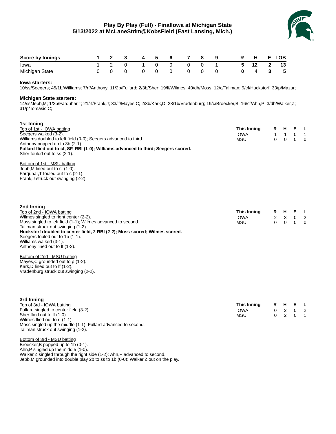# **Play By Play (Full) - FinalIowa at Michigan State 5/13/2022 at McLaneStdm@KobsField (East Lansing, Mich.)**



| <b>Score by Innings</b> |  | $\overline{\mathbf{3}}$ | 4 5 6     |              |                | 78 | 9 <sup>1</sup> |   | R H  | E.       | LOB |
|-------------------------|--|-------------------------|-----------|--------------|----------------|----|----------------|---|------|----------|-----|
| lowa                    |  |                         | 1 2 0 1 0 |              | $\overline{0}$ |    | $1\quad$       | 5 | 12 2 |          | 13  |
| Michigan State          |  |                         |           | $\mathbf{0}$ |                |    |                |   | 4    | $\sim$ 3 | - 5 |

#### **Iowa starters:**

10/ss/Seegers; 45/1b/Williams; 7/rf/Anthony; 11/2b/Fullard; 2/3b/Sher; 19/lf/Wilmes; 40/dh/Moss; 12/c/Tallman; 9/cf/Huckstorf; 33/p/Mazur;

#### **Michigan State starters:**

14/ss/Jebb,M; 1/2b/Farquhar,T; 21/rf/Frank,J; 33/lf/Mayes,C; 2/3b/Kark,D; 28/1b/Vradenburg; 19/c/Broecker,B; 16/cf/Ahn,P; 3/dh/Walker,Z; 31/p/Tomasic,C;

| 1st Inning<br>Top of 1st - IOWA batting<br>Seegers walked (3-2).<br>Williams doubled to left field (0-0); Seegers advanced to third.<br>Anthony popped up to 3b (2-1).<br>Fullard flied out to cf, SF, RBI (1-0); Williams advanced to third; Seegers scored.<br>Sher fouled out to ss (2-1).<br>Bottom of 1st - MSU batting<br>Jebb, M lined out to cf (1-0).<br>Farguhar, T fouled out to c (2-1).<br>Frank, J struck out swinging (2-2).                                                                         | <b>This Inning</b><br><b>IOWA</b><br><b>MSU</b> | R<br>1<br>0 | н.<br>1<br>0       | Е<br>$\mathbf 0$<br>0 | <b>L</b><br>$\mathbf{1}$<br>0          |
|---------------------------------------------------------------------------------------------------------------------------------------------------------------------------------------------------------------------------------------------------------------------------------------------------------------------------------------------------------------------------------------------------------------------------------------------------------------------------------------------------------------------|-------------------------------------------------|-------------|--------------------|-----------------------|----------------------------------------|
| 2nd Inning<br>Top of 2nd - IOWA batting<br>Wilmes singled to right center (2-2).<br>Moss singled to left field (1-1); Wilmes advanced to second.<br>Tallman struck out swinging (1-2).<br>Huckstorf doubled to center field, 2 RBI (2-2); Moss scored; Wilmes scored.<br>Seegers fouled out to 1b (1-1).<br>Williams walked (3-1).<br>Anthony lined out to If (1-2).<br>Bottom of 2nd - MSU batting<br>Mayes, C grounded out to p (1-2).<br>Kark, D lined out to If (1-2).<br>Vradenburg struck out swinging (2-2). | This Inning<br><b>IOWA</b><br><b>MSU</b>        | R<br>2<br>0 | н<br>3<br>$\Omega$ | Е<br>0<br>0           | <b>L</b><br>$\overline{2}$<br>$\Omega$ |

| 3rd Inning                                                    |             |              |             |  |
|---------------------------------------------------------------|-------------|--------------|-------------|--|
| Top of 3rd - IOWA batting                                     | This Inning |              | R H E L     |  |
| Fullard singled to center field (3-2).                        | <b>IOWA</b> | <sup>n</sup> |             |  |
| Sher flied out to If (1-0).                                   | <b>MSU</b>  |              | $0 \quad 1$ |  |
| Wilmes flied out to rf (1-1).                                 |             |              |             |  |
| Moss singled up the middle (1-1); Fullard advanced to second. |             |              |             |  |
| Tallman struck out swinging (1-2).                            |             |              |             |  |

Bottom of 3rd - MSU batting Broecker,B popped up to 1b (0-1). Ahn,P singled up the middle (1-0). Walker,Z singled through the right side (1-2); Ahn,P advanced to second. Jebb,M grounded into double play 2b to ss to 1b (0-0); Walker,Z out on the play.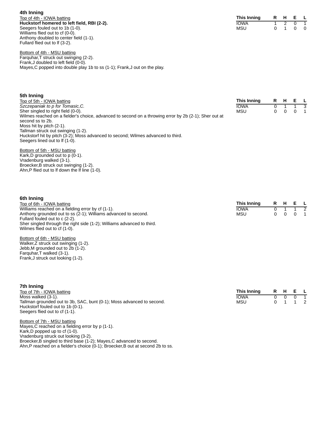**4th Inning** Top of 4th - IOWA batting **Huckstorf homered to left field, RBI (2-2).** Seegers fouled out to 1b (1-0). Williams flied out to cf (0-0). Anthony doubled to center field (1-1). Fullard flied out to lf (3-2).

| This Inning | R | н |  |
|-------------|---|---|--|
| IOWA        |   |   |  |
| MSU         |   |   |  |

**This Inning R H E L** IOWA 0 1 1 3

 $MSU$ 

Bottom of 4th - MSU batting Farquhar,T struck out swinging (2-2). Frank,J doubled to left field (0-0). Mayes,C popped into double play 1b to ss (1-1); Frank,J out on the play.

### **5th Inning**

Top of 5th - IOWA batting *Szczepaniak to p for Tomasic,C.* Sher singled to right field (0-0). Wilmes reached on a fielder's choice, advanced to second on a throwing error by 2b (2-1); Sher out at second ss to 2b. Moss hit by pitch (2-1). Tallman struck out swinging (1-2). Huckstorf hit by pitch (3-2); Moss advanced to second; Wilmes advanced to third. Seegers lined out to If (1-0).

Bottom of 5th - MSU batting Kark, D grounded out to  $p(0-1)$ . Vradenburg walked (3-1). Broecker, B struck out swinging (1-2). Ahn,P flied out to lf down the lf line (1-0).

| 6th Inning                                                             |             |         |                |
|------------------------------------------------------------------------|-------------|---------|----------------|
| Top of 6th - IOWA batting                                              | This Inning | R H E L |                |
| Williams reached on a fielding error by cf (1-1).                      | <b>IOWA</b> | 1 1 2   |                |
| Anthony grounded out to ss (2-1); Williams advanced to second.         | <b>MSU</b>  |         | $\overline{1}$ |
| Fullard fouled out to c (2-2).                                         |             |         |                |
| Sher singled through the right side (1-2); Williams advanced to third. |             |         |                |
| Wilmes flied out to cf (1-0).                                          |             |         |                |

Bottom of 6th - MSU batting Walker,Z struck out swinging (1-2). Jebb,M grounded out to 2b (1-2). Farquhar,T walked (3-1). Frank,J struck out looking (1-2).

| 7th Inning                                                            |             |   |    |   |  |
|-----------------------------------------------------------------------|-------------|---|----|---|--|
| Top of 7th - IOWA batting                                             | This Inning | R | н. | E |  |
| Moss walked (3-1).                                                    | <b>IOWA</b> |   |    |   |  |
| Tallman grounded out to 3b, SAC, bunt (0-1); Moss advanced to second. | <b>MSU</b>  |   |    |   |  |
| Huckstorf fouled out to 1b (0-1).                                     |             |   |    |   |  |
| Seegers flied out to cf (1-1).                                        |             |   |    |   |  |
| Bottom of 7th - MSU batting                                           |             |   |    |   |  |
| Mayes, C reached on a fielding error by $p(1-1)$ .                    |             |   |    |   |  |
| Kark, D popped up to $cf(1-0)$ .                                      |             |   |    |   |  |

Vradenburg struck out looking (3-2). Broecker,B singled to third base (1-2); Mayes,C advanced to second. Ahn,P reached on a fielder's choice (0-1); Broecker,B out at second 2b to ss.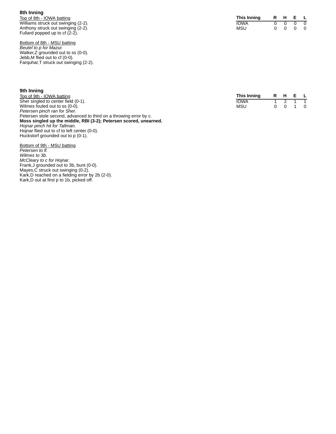#### **8 t h I n n i n g**

Top of 8th - IOWA batting Williams struck out swinging (2-2). Anthony struck out swinging (2-2). Fullard popped up to cf (2-2).

Bottom of 8th - MSU batting *Beutel to p for Mazur.* Walker,Z grounded out to ss (0-0). Jebb,M flied out to cf (0-0). Farquhar,T struck out swinging (2-2).

| This Inning | R | н |   |
|-------------|---|---|---|
| IOWA        |   |   | O |
| MSU         |   |   | O |

| 9th Inning                                                       |             |  |         |  |
|------------------------------------------------------------------|-------------|--|---------|--|
| Top of 9th - IOWA batting                                        | This Inning |  | R H E L |  |
| Sher singled to center field (0-1).                              | IOWA        |  |         |  |
| Wilmes fouled out to ss (0-0).                                   | MSU         |  | 0 0 1 0 |  |
| Petersen pinch ran for Sher.                                     |             |  |         |  |
| Petersen stole second advanced to third on a throwing error by c |             |  |         |  |

Petersen stole second, advanced to third on a throwing error by c. **Moss singled up the middle, RBI (3-2); Petersen scored, unearned.** *Hojnar pinch hit for Tallman.* Hojnar flied out to cf to left center (0-0).

Huckstorf grounded out to p (0-1). Bottom of 9th - MSU batting

*Petersen to lf. Wilmes to 3b. McCleary to c for Hojnar.* Frank,J grounded out to 3b, bunt (0-0). Mayes,C struck out swinging (0-2). Kark,D reached on a fielding error by 2b (2-0). Kark,D out at first p to 1b, picked off.